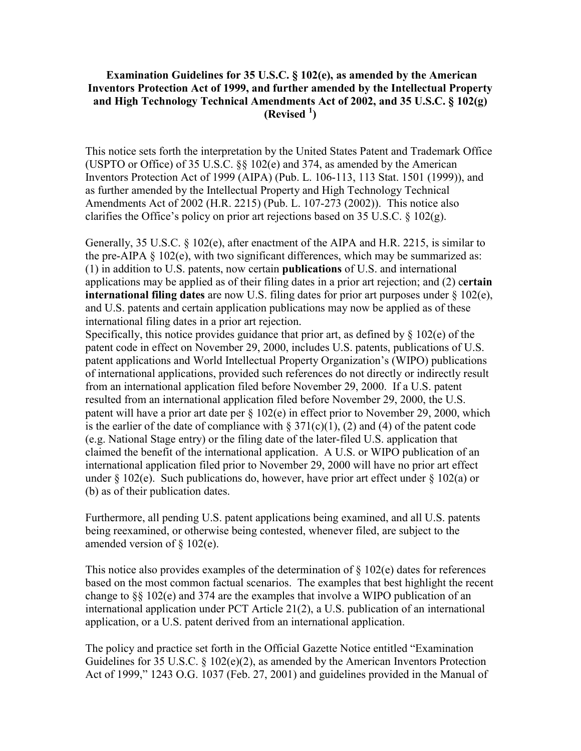### **Examination Guidelines for 35 U.S.C. § 102(e), as amended by the American Inventors Protection Act of 1999, and further amended by the Intellectual Property and High Technology Technical Amendments Act of 2002, and 35 U.S.C. § 102(g) (Revised <sup>1</sup> )**

This notice sets forth the interpretation by the United States Patent and Trademark Office (USPTO or Office) of 35 U.S.C. §§ 102(e) and 374, as amended by the American Inventors Protection Act of 1999 (AIPA) (Pub. L. 106-113, 113 Stat. 1501 (1999)), and as further amended by the Intellectual Property and High Technology Technical Amendments Act of 2002 (H.R. 2215) (Pub. L. 107-273 (2002)). This notice also clarifies the Office's policy on prior art rejections based on 35 U.S.C.  $\S$  102(g).

Generally, 35 U.S.C. § 102(e), after enactment of the AIPA and H.R. 2215, is similar to the pre-AIPA  $\S$  102(e), with two significant differences, which may be summarized as: (1) in addition to U.S. patents, now certain **publications** of U.S. and international applications may be applied as of their filing dates in a prior art rejection; and (2) c**ertain international filing dates** are now U.S. filing dates for prior art purposes under § 102(e), and U.S. patents and certain application publications may now be applied as of these international filing dates in a prior art rejection.

Specifically, this notice provides guidance that prior art, as defined by  $\S$  102(e) of the patent code in effect on November 29, 2000, includes U.S. patents, publications of U.S. patent applications and World Intellectual Property Organization's (WIPO) publications of international applications, provided such references do not directly or indirectly result from an international application filed before November 29, 2000. If a U.S. patent resulted from an international application filed before November 29, 2000, the U.S. patent will have a prior art date per § 102(e) in effect prior to November 29, 2000, which is the earlier of the date of compliance with  $\S 371(c)(1)$ , (2) and (4) of the patent code (e.g. National Stage entry) or the filing date of the later-filed U.S. application that claimed the benefit of the international application. A U.S. or WIPO publication of an international application filed prior to November 29, 2000 will have no prior art effect under  $\S 102(e)$ . Such publications do, however, have prior art effect under  $\S 102(a)$  or (b) as of their publication dates.

Furthermore, all pending U.S. patent applications being examined, and all U.S. patents being reexamined, or otherwise being contested, whenever filed, are subject to the amended version of § 102(e).

This notice also provides examples of the determination of  $\S 102(e)$  dates for references based on the most common factual scenarios. The examples that best highlight the recent change to §§ 102(e) and 374 are the examples that involve a WIPO publication of an international application under PCT Article 21(2), a U.S. publication of an international application, or a U.S. patent derived from an international application.

The policy and practice set forth in the Official Gazette Notice entitled "Examination Guidelines for 35 U.S.C. § 102(e)(2), as amended by the American Inventors Protection Act of 1999," 1243 O.G. 1037 (Feb. 27, 2001) and guidelines provided in the Manual of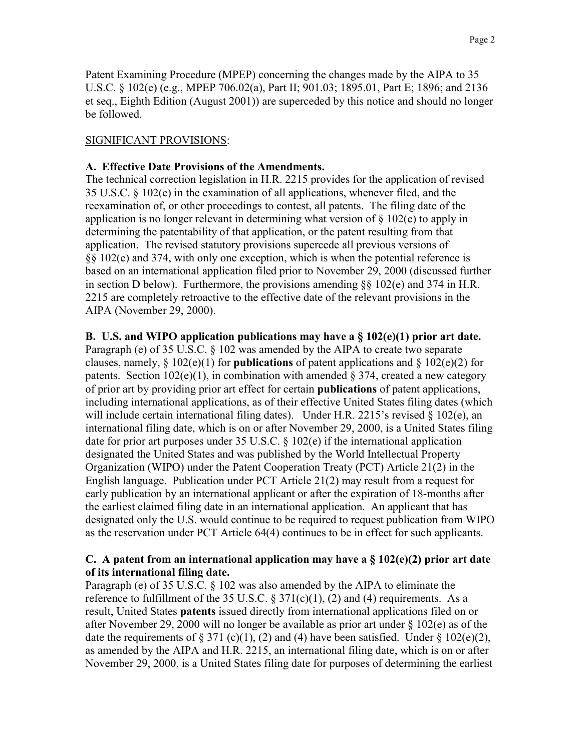Patent Examining Procedure (MPEP) concerning the changes made by the AIPA to 35 U.S.C. § 102(e) (e.g., MPEP 706.02(a), Part II; 901.03; 1895.01, Part E; 1896; and 2136 et seq., Eighth Edition (August 2001)) are superceded by this notice and should no longer be followed.

## SIGNIFICANT PROVISIONS:

### **A. Effective Date Provisions of the Amendments.**

The technical correction legislation in H.R. 2215 provides for the application of revised 35 U.S.C. § 102(e) in the examination of all applications, whenever filed, and the reexamination of, or other proceedings to contest, all patents. The filing date of the application is no longer relevant in determining what version of § 102(e) to apply in determining the patentability of that application, or the patent resulting from that application. The revised statutory provisions supercede all previous versions of §§ 102(e) and 374, with only one exception, which is when the potential reference is based on an international application filed prior to November 29, 2000 (discussed further in section D below). Furthermore, the provisions amending  $\S$  102(e) and 374 in H.R. 2215 are completely retroactive to the effective date of the relevant provisions in the AIPA (November 29, 2000).

### **B. U.S. and WIPO application publications may have a § 102(e)(1) prior art date.**

Paragraph (e) of 35 U.S.C. § 102 was amended by the AIPA to create two separate clauses, namely, § 102(e)(1) for **publications** of patent applications and § 102(e)(2) for patents. Section  $102(e)(1)$ , in combination with amended § 374, created a new category of prior art by providing prior art effect for certain **publications** of patent applications, including international applications, as of their effective United States filing dates (which will include certain international filing dates). Under H.R. 2215's revised  $\S$  102(e), an international filing date, which is on or after November 29, 2000, is a United States filing date for prior art purposes under 35 U.S.C.  $\S 102(e)$  if the international application designated the United States and was published by the World Intellectual Property Organization (WIPO) under the Patent Cooperation Treaty (PCT) Article 21(2) in the English language. Publication under PCT Article 21(2) may result from a request for early publication by an international applicant or after the expiration of 18-months after the earliest claimed filing date in an international application. An applicant that has designated only the U.S. would continue to be required to request publication from WIPO as the reservation under PCT Article 64(4) continues to be in effect for such applicants.

### **C. A patent from an international application may have a § 102(e)(2) prior art date of its international filing date.**

Paragraph (e) of 35 U.S.C. § 102 was also amended by the AIPA to eliminate the reference to fulfillment of the 35 U.S.C.  $\S 371(c)(1)$ , (2) and (4) requirements. As a result, United States **patents** issued directly from international applications filed on or after November 29, 2000 will no longer be available as prior art under § 102(e) as of the date the requirements of  $\S 371$  (c)(1), (2) and (4) have been satisfied. Under  $\S 102(e)(2)$ , as amended by the AIPA and H.R. 2215, an international filing date, which is on or after November 29, 2000, is a United States filing date for purposes of determining the earliest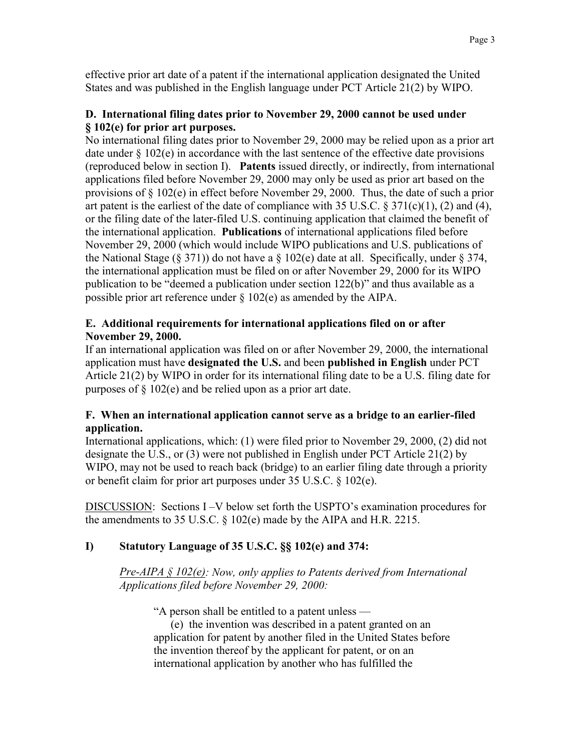effective prior art date of a patent if the international application designated the United States and was published in the English language under PCT Article 21(2) by WIPO.

## **D. International filing dates prior to November 29, 2000 cannot be used under § 102(e) for prior art purposes.**

No international filing dates prior to November 29, 2000 may be relied upon as a prior art date under § 102(e) in accordance with the last sentence of the effective date provisions (reproduced below in section I). **Patents** issued directly, or indirectly, from international applications filed before November 29, 2000 may only be used as prior art based on the provisions of § 102(e) in effect before November 29, 2000. Thus, the date of such a prior art patent is the earliest of the date of compliance with 35 U.S.C.  $\S 371(c)(1)$ , (2) and (4), or the filing date of the later-filed U.S. continuing application that claimed the benefit of the international application. **Publications** of international applications filed before November 29, 2000 (which would include WIPO publications and U.S. publications of the National Stage (§ 371)) do not have a  $\S$  102(e) date at all. Specifically, under  $\S$  374, the international application must be filed on or after November 29, 2000 for its WIPO publication to be "deemed a publication under section 122(b)" and thus available as a possible prior art reference under § 102(e) as amended by the AIPA.

## **E. Additional requirements for international applications filed on or after November 29, 2000.**

If an international application was filed on or after November 29, 2000, the international application must have **designated the U.S.** and been **published in English** under PCT Article 21(2) by WIPO in order for its international filing date to be a U.S. filing date for purposes of  $\S$  102(e) and be relied upon as a prior art date.

## **F. When an international application cannot serve as a bridge to an earlier-filed application.**

International applications, which: (1) were filed prior to November 29, 2000, (2) did not designate the U.S., or (3) were not published in English under PCT Article 21(2) by WIPO, may not be used to reach back (bridge) to an earlier filing date through a priority or benefit claim for prior art purposes under 35 U.S.C. § 102(e).

DISCUSSION: Sections I –V below set forth the USPTO's examination procedures for the amendments to 35 U.S.C. § 102(e) made by the AIPA and H.R. 2215.

# **I) Statutory Language of 35 U.S.C. §§ 102(e) and 374:**

*Pre-AIPA § 102(e): Now, only applies to Patents derived from International Applications filed before November 29, 2000:* 

"A person shall be entitled to a patent unless —

(e) the invention was described in a patent granted on an application for patent by another filed in the United States before the invention thereof by the applicant for patent, or on an international application by another who has fulfilled the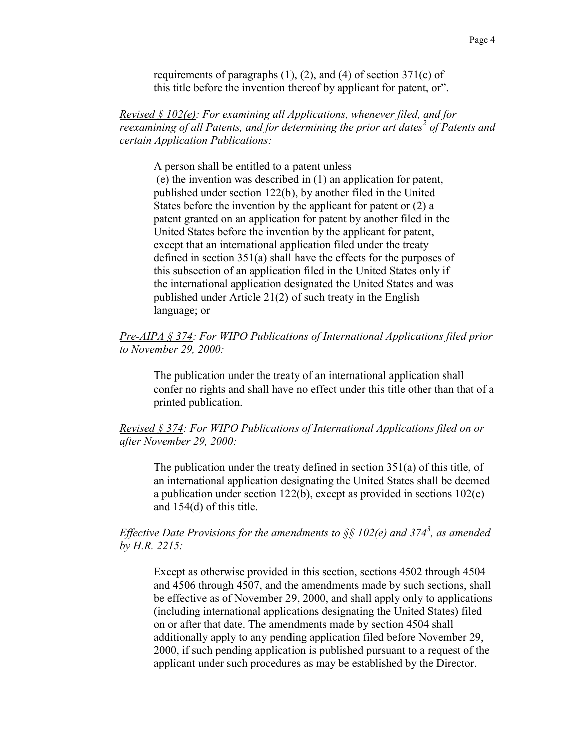requirements of paragraphs  $(1)$ ,  $(2)$ , and  $(4)$  of section 371 $(c)$  of this title before the invention thereof by applicant for patent, or".

*Revised § 102(e): For examining all Applications, whenever filed, and for reexamining of all Patents, and for determining the prior art dates<sup>2</sup> of Patents and certain Application Publications:* 

A person shall be entitled to a patent unless

(e) the invention was described in (1) an application for patent, published under section 122(b), by another filed in the United States before the invention by the applicant for patent or (2) a patent granted on an application for patent by another filed in the United States before the invention by the applicant for patent, except that an international application filed under the treaty defined in section 351(a) shall have the effects for the purposes of this subsection of an application filed in the United States only if the international application designated the United States and was published under Article 21(2) of such treaty in the English language; or

#### *Pre-AIPA § 374: For WIPO Publications of International Applications filed prior to November 29, 2000:*

The publication under the treaty of an international application shall confer no rights and shall have no effect under this title other than that of a printed publication.

#### *Revised § 374: For WIPO Publications of International Applications filed on or after November 29, 2000:*

The publication under the treaty defined in section 351(a) of this title, of an international application designating the United States shall be deemed a publication under section 122(b), except as provided in sections 102(e) and 154(d) of this title.

## *Effective Date Provisions for the amendments to §§ 102(e) and 374<sup>3</sup> , as amended by H.R. 2215:*

Except as otherwise provided in this section, sections 4502 through 4504 and 4506 through 4507, and the amendments made by such sections, shall be effective as of November 29, 2000, and shall apply only to applications (including international applications designating the United States) filed on or after that date. The amendments made by section 4504 shall additionally apply to any pending application filed before November 29, 2000, if such pending application is published pursuant to a request of the applicant under such procedures as may be established by the Director.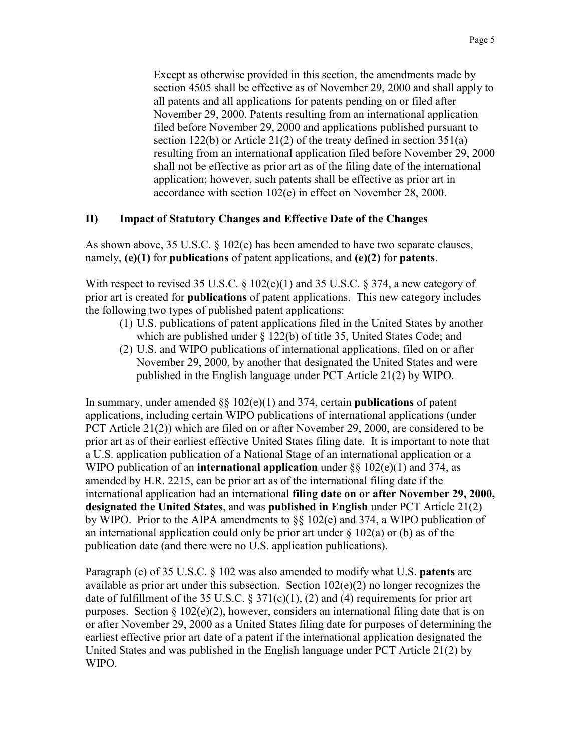Except as otherwise provided in this section, the amendments made by section 4505 shall be effective as of November 29, 2000 and shall apply to all patents and all applications for patents pending on or filed after November 29, 2000. Patents resulting from an international application filed before November 29, 2000 and applications published pursuant to section 122(b) or Article 21(2) of the treaty defined in section 351(a) resulting from an international application filed before November 29, 2000 shall not be effective as prior art as of the filing date of the international application; however, such patents shall be effective as prior art in accordance with section 102(e) in effect on November 28, 2000.

## **II) Impact of Statutory Changes and Effective Date of the Changes**

As shown above, 35 U.S.C. § 102(e) has been amended to have two separate clauses, namely, **(e)(1)** for **publications** of patent applications, and **(e)(2)** for **patents**.

With respect to revised 35 U.S.C.  $\S$  102(e)(1) and 35 U.S.C.  $\S$  374, a new category of prior art is created for **publications** of patent applications. This new category includes the following two types of published patent applications:

- (1) U.S. publications of patent applications filed in the United States by another which are published under § 122(b) of title 35, United States Code; and
- (2) U.S. and WIPO publications of international applications, filed on or after November 29, 2000, by another that designated the United States and were published in the English language under PCT Article 21(2) by WIPO.

In summary, under amended §§ 102(e)(1) and 374, certain **publications** of patent applications, including certain WIPO publications of international applications (under PCT Article 21(2)) which are filed on or after November 29, 2000, are considered to be prior art as of their earliest effective United States filing date. It is important to note that a U.S. application publication of a National Stage of an international application or a WIPO publication of an **international application** under §§ 102(e)(1) and 374, as amended by H.R. 2215, can be prior art as of the international filing date if the international application had an international **filing date on or after November 29, 2000, designated the United States**, and was **published in English** under PCT Article 21(2) by WIPO. Prior to the AIPA amendments to §§ 102(e) and 374, a WIPO publication of an international application could only be prior art under  $\S$  102(a) or (b) as of the publication date (and there were no U.S. application publications).

Paragraph (e) of 35 U.S.C. § 102 was also amended to modify what U.S. **patents** are available as prior art under this subsection. Section 102(e)(2) no longer recognizes the date of fulfillment of the 35 U.S.C. § 371(c)(1), (2) and (4) requirements for prior art purposes. Section  $\S 102(e)(2)$ , however, considers an international filing date that is on or after November 29, 2000 as a United States filing date for purposes of determining the earliest effective prior art date of a patent if the international application designated the United States and was published in the English language under PCT Article 21(2) by WIPO.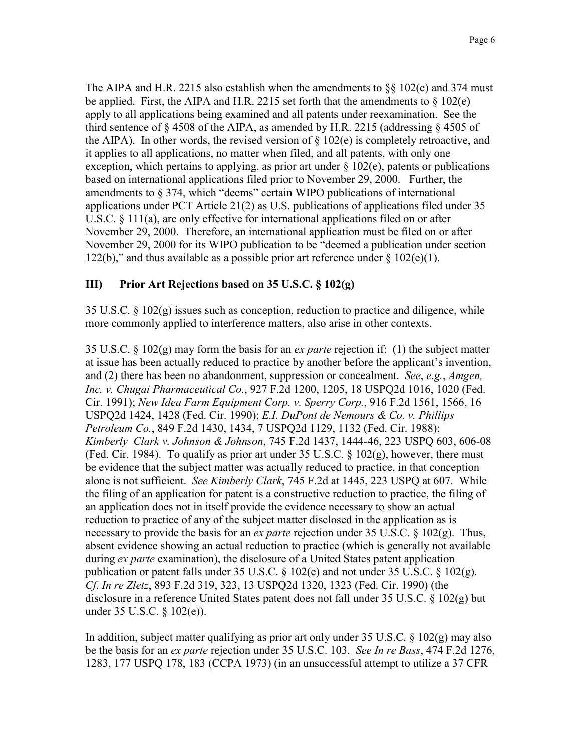The AIPA and H.R. 2215 also establish when the amendments to  $\S\S 102(e)$  and 374 must be applied. First, the AIPA and H.R. 2215 set forth that the amendments to  $\S$  102(e) apply to all applications being examined and all patents under reexamination. See the third sentence of  $\S$  4508 of the AIPA, as amended by H.R. 2215 (addressing  $\S$  4505 of the AIPA). In other words, the revised version of  $\S$  102(e) is completely retroactive, and it applies to all applications, no matter when filed, and all patents, with only one exception, which pertains to applying, as prior art under  $\S 102(e)$ , patents or publications based on international applications filed prior to November 29, 2000. Further, the amendments to § 374, which "deems" certain WIPO publications of international applications under PCT Article 21(2) as U.S. publications of applications filed under 35 U.S.C. § 111(a), are only effective for international applications filed on or after November 29, 2000. Therefore, an international application must be filed on or after November 29, 2000 for its WIPO publication to be "deemed a publication under section 122(b)," and thus available as a possible prior art reference under  $\S$  102(e)(1).

## **III) Prior Art Rejections based on 35 U.S.C. § 102(g)**

35 U.S.C. § 102(g) issues such as conception, reduction to practice and diligence, while more commonly applied to interference matters, also arise in other contexts.

35 U.S.C. § 102(g) may form the basis for an *ex parte* rejection if: (1) the subject matter at issue has been actually reduced to practice by another before the applicant's invention, and (2) there has been no abandonment, suppression or concealment. *See*, *e.g.*, *Amgen, Inc. v. Chugai Pharmaceutical Co.*, 927 F.2d 1200, 1205, 18 USPQ2d 1016, 1020 (Fed. Cir. 1991); *New Idea Farm Equipment Corp. v. Sperry Corp.*, 916 F.2d 1561, 1566, 16 USPQ2d 1424, 1428 (Fed. Cir. 1990); *E.I. DuPont de Nemours & Co. v. Phillips Petroleum Co.*, 849 F.2d 1430, 1434, 7 USPQ2d 1129, 1132 (Fed. Cir. 1988); *Kimberly\_Clark v. Johnson & Johnson*, 745 F.2d 1437, 1444-46, 223 USPQ 603, 606-08 (Fed. Cir. 1984). To qualify as prior art under 35 U.S.C.  $\S$  102(g), however, there must be evidence that the subject matter was actually reduced to practice, in that conception alone is not sufficient. *See Kimberly Clark*, 745 F.2d at 1445, 223 USPQ at 607. While the filing of an application for patent is a constructive reduction to practice, the filing of an application does not in itself provide the evidence necessary to show an actual reduction to practice of any of the subject matter disclosed in the application as is necessary to provide the basis for an *ex parte* rejection under 35 U.S.C. § 102(g). Thus, absent evidence showing an actual reduction to practice (which is generally not available during *ex parte* examination), the disclosure of a United States patent application publication or patent falls under 35 U.S.C. § 102(e) and not under 35 U.S.C. § 102(g). *Cf*. *In re Zletz*, 893 F.2d 319, 323, 13 USPQ2d 1320, 1323 (Fed. Cir. 1990) (the disclosure in a reference United States patent does not fall under 35 U.S.C. § 102(g) but under 35 U.S.C. § 102(e)).

In addition, subject matter qualifying as prior art only under 35 U.S.C. § 102(g) may also be the basis for an *ex parte* rejection under 35 U.S.C. 103. *See In re Bass*, 474 F.2d 1276, 1283, 177 USPQ 178, 183 (CCPA 1973) (in an unsuccessful attempt to utilize a 37 CFR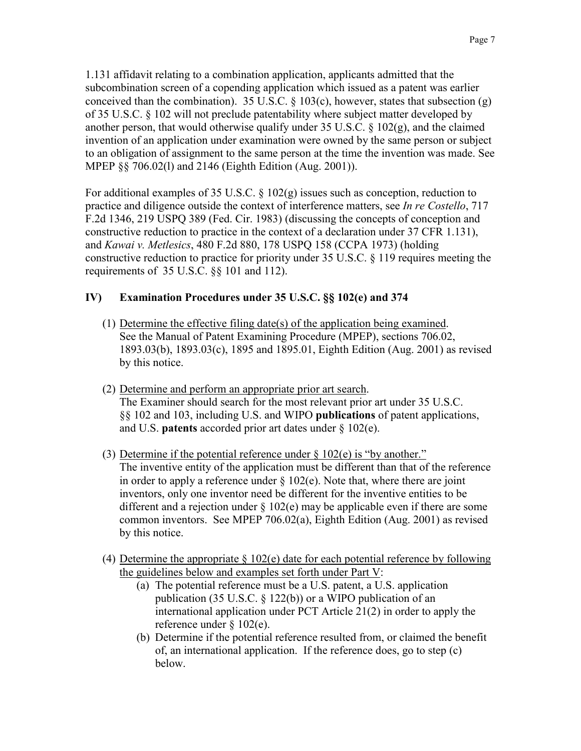1.131 affidavit relating to a combination application, applicants admitted that the subcombination screen of a copending application which issued as a patent was earlier conceived than the combination). 35 U.S.C.  $\S$  103(c), however, states that subsection (g) of 35 U.S.C. § 102 will not preclude patentability where subject matter developed by another person, that would otherwise qualify under 35 U.S.C.  $\S$  102(g), and the claimed invention of an application under examination were owned by the same person or subject to an obligation of assignment to the same person at the time the invention was made. See MPEP §§ 706.02(l) and 2146 (Eighth Edition (Aug. 2001)).

For additional examples of 35 U.S.C. § 102(g) issues such as conception, reduction to practice and diligence outside the context of interference matters, see *In re Costello*, 717 F.2d 1346, 219 USPQ 389 (Fed. Cir. 1983) (discussing the concepts of conception and constructive reduction to practice in the context of a declaration under 37 CFR 1.131), and *Kawai v. Metlesics*, 480 F.2d 880, 178 USPQ 158 (CCPA 1973) (holding constructive reduction to practice for priority under 35 U.S.C. § 119 requires meeting the requirements of 35 U.S.C. §§ 101 and 112).

## **IV) Examination Procedures under 35 U.S.C. §§ 102(e) and 374**

- (1) Determine the effective filing date(s) of the application being examined. See the Manual of Patent Examining Procedure (MPEP), sections 706.02, 1893.03(b), 1893.03(c), 1895 and 1895.01, Eighth Edition (Aug. 2001) as revised by this notice.
- (2) Determine and perform an appropriate prior art search. The Examiner should search for the most relevant prior art under 35 U.S.C. §§ 102 and 103, including U.S. and WIPO **publications** of patent applications, and U.S. **patents** accorded prior art dates under § 102(e).
- (3) Determine if the potential reference under  $\S$  102(e) is "by another." The inventive entity of the application must be different than that of the reference in order to apply a reference under  $\S 102(e)$ . Note that, where there are joint inventors, only one inventor need be different for the inventive entities to be different and a rejection under § 102(e) may be applicable even if there are some common inventors. See MPEP 706.02(a), Eighth Edition (Aug. 2001) as revised by this notice.
- (4) Determine the appropriate § 102(e) date for each potential reference by following the guidelines below and examples set forth under Part V:
	- (a) The potential reference must be a U.S. patent, a U.S. application publication (35 U.S.C.  $\S$  122(b)) or a WIPO publication of an international application under PCT Article 21(2) in order to apply the reference under § 102(e).
	- (b) Determine if the potential reference resulted from, or claimed the benefit of, an international application. If the reference does, go to step (c) below.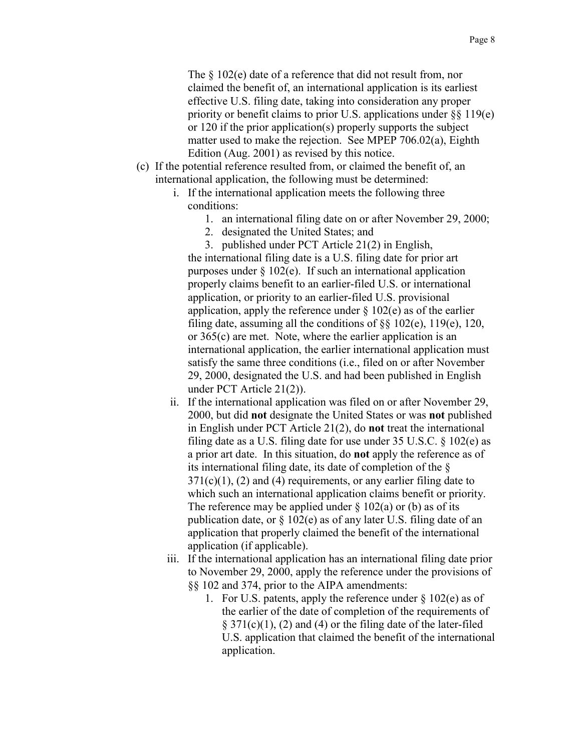The  $\frac{102}{e}$  date of a reference that did not result from, nor claimed the benefit of, an international application is its earliest effective U.S. filing date, taking into consideration any proper priority or benefit claims to prior U.S. applications under §§ 119(e) or 120 if the prior application(s) properly supports the subject matter used to make the rejection. See MPEP 706.02(a), Eighth Edition (Aug. 2001) as revised by this notice.

- (c) If the potential reference resulted from, or claimed the benefit of, an international application, the following must be determined:
	- i. If the international application meets the following three conditions:
		- 1. an international filing date on or after November 29, 2000;
		- 2. designated the United States; and
		- 3. published under PCT Article 21(2) in English,

the international filing date is a U.S. filing date for prior art purposes under  $\S 102(e)$ . If such an international application properly claims benefit to an earlier-filed U.S. or international application, or priority to an earlier-filed U.S. provisional application, apply the reference under  $\S 102(e)$  as of the earlier filing date, assuming all the conditions of  $\S$ § 102(e), 119(e), 120, or 365(c) are met. Note, where the earlier application is an international application, the earlier international application must satisfy the same three conditions (i.e., filed on or after November 29, 2000, designated the U.S. and had been published in English under PCT Article 21(2)).

- ii. If the international application was filed on or after November 29, 2000, but did **not** designate the United States or was **not** published in English under PCT Article 21(2), do **not** treat the international filing date as a U.S. filing date for use under  $35 \text{ U.S.C.} \$   $3102(e)$  as a prior art date. In this situation, do **not** apply the reference as of its international filing date, its date of completion of the §  $371(c)(1)$ , (2) and (4) requirements, or any earlier filing date to which such an international application claims benefit or priority. The reference may be applied under  $\S$  102(a) or (b) as of its publication date, or § 102(e) as of any later U.S. filing date of an application that properly claimed the benefit of the international application (if applicable).
- iii. If the international application has an international filing date prior to November 29, 2000, apply the reference under the provisions of §§ 102 and 374, prior to the AIPA amendments:
	- 1. For U.S. patents, apply the reference under § 102(e) as of the earlier of the date of completion of the requirements of  $\S 371(c)(1)$ , (2) and (4) or the filing date of the later-filed U.S. application that claimed the benefit of the international application.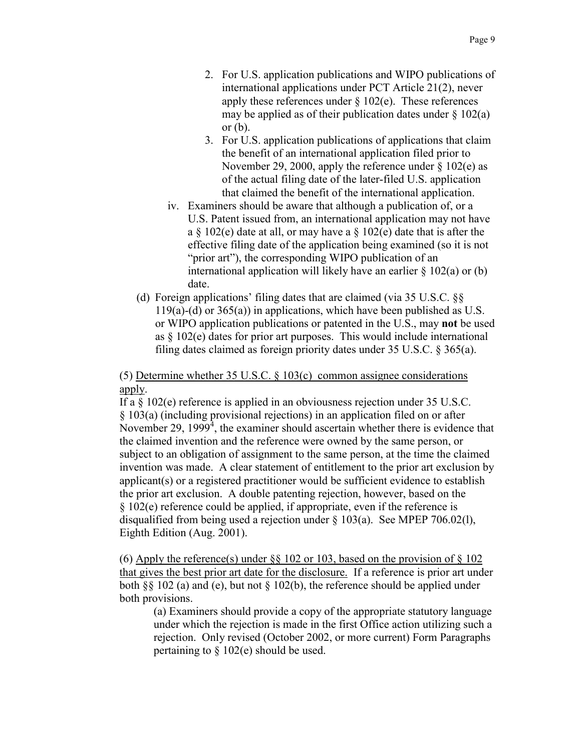- 2. For U.S. application publications and WIPO publications of international applications under PCT Article 21(2), never apply these references under  $\S 102(e)$ . These references may be applied as of their publication dates under  $\S$  102(a) or  $(b)$ .
- 3. For U.S. application publications of applications that claim the benefit of an international application filed prior to November 29, 2000, apply the reference under  $\S$  102(e) as of the actual filing date of the later-filed U.S. application that claimed the benefit of the international application.
- iv. Examiners should be aware that although a publication of, or a U.S. Patent issued from, an international application may not have a  $\S$  102(e) date at all, or may have a  $\S$  102(e) date that is after the effective filing date of the application being examined (so it is not "prior art"), the corresponding WIPO publication of an international application will likely have an earlier  $\S$  102(a) or (b) date.
- (d) Foreign applications' filing dates that are claimed (via 35 U.S.C. §§ 119(a)-(d) or  $365(a)$ ) in applications, which have been published as U.S. or WIPO application publications or patented in the U.S., may **not** be used as § 102(e) dates for prior art purposes. This would include international filing dates claimed as foreign priority dates under 35 U.S.C. § 365(a).

#### (5) Determine whether 35 U.S.C. § 103(c) common assignee considerations apply.

If a § 102(e) reference is applied in an obviousness rejection under 35 U.S.C. § 103(a) (including provisional rejections) in an application filed on or after November 29, 1999<sup>4</sup>, the examiner should ascertain whether there is evidence that the claimed invention and the reference were owned by the same person, or subject to an obligation of assignment to the same person, at the time the claimed invention was made. A clear statement of entitlement to the prior art exclusion by applicant(s) or a registered practitioner would be sufficient evidence to establish the prior art exclusion. A double patenting rejection, however, based on the § 102(e) reference could be applied, if appropriate, even if the reference is disqualified from being used a rejection under § 103(a). See MPEP 706.02(l), Eighth Edition (Aug. 2001).

(6) Apply the reference(s) under  $\S$ § 102 or 103, based on the provision of § 102 that gives the best prior art date for the disclosure. If a reference is prior art under both §§ 102 (a) and (e), but not § 102(b), the reference should be applied under both provisions.

(a) Examiners should provide a copy of the appropriate statutory language under which the rejection is made in the first Office action utilizing such a rejection. Only revised (October 2002, or more current) Form Paragraphs pertaining to § 102(e) should be used.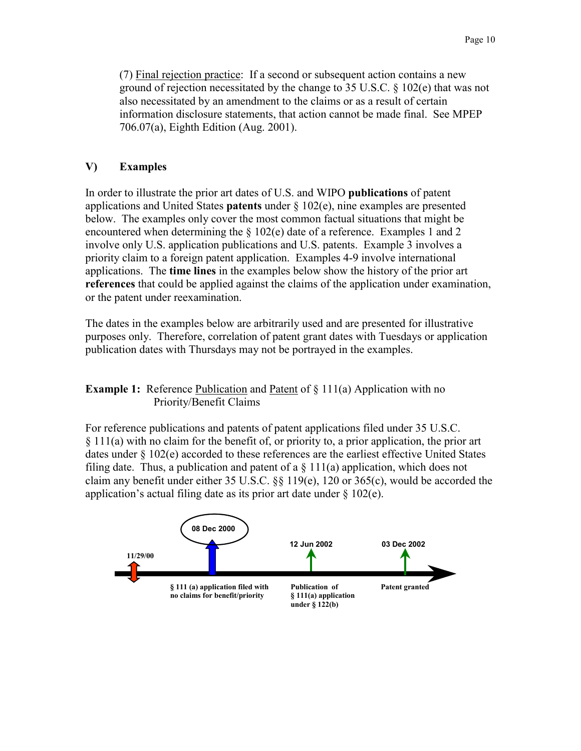(7) Final rejection practice: If a second or subsequent action contains a new ground of rejection necessitated by the change to 35 U.S.C. § 102(e) that was not also necessitated by an amendment to the claims or as a result of certain information disclosure statements, that action cannot be made final. See MPEP 706.07(a), Eighth Edition (Aug. 2001).

## **V) Examples**

In order to illustrate the prior art dates of U.S. and WIPO **publications** of patent applications and United States **patents** under § 102(e), nine examples are presented below. The examples only cover the most common factual situations that might be encountered when determining the  $\S 102(e)$  date of a reference. Examples 1 and 2 involve only U.S. application publications and U.S. patents. Example 3 involves a priority claim to a foreign patent application. Examples 4-9 involve international applications. The **time lines** in the examples below show the history of the prior art **references** that could be applied against the claims of the application under examination, or the patent under reexamination.

The dates in the examples below are arbitrarily used and are presented for illustrative purposes only. Therefore, correlation of patent grant dates with Tuesdays or application publication dates with Thursdays may not be portrayed in the examples.

### **Example 1:** Reference Publication and Patent of  $\S 111(a)$  Application with no Priority/Benefit Claims

For reference publications and patents of patent applications filed under 35 U.S.C. § 111(a) with no claim for the benefit of, or priority to, a prior application, the prior art dates under § 102(e) accorded to these references are the earliest effective United States filing date. Thus, a publication and patent of a  $\S$  111(a) application, which does not claim any benefit under either 35 U.S.C. §§ 119(e), 120 or 365(c), would be accorded the application's actual filing date as its prior art date under  $\S 102(e)$ .

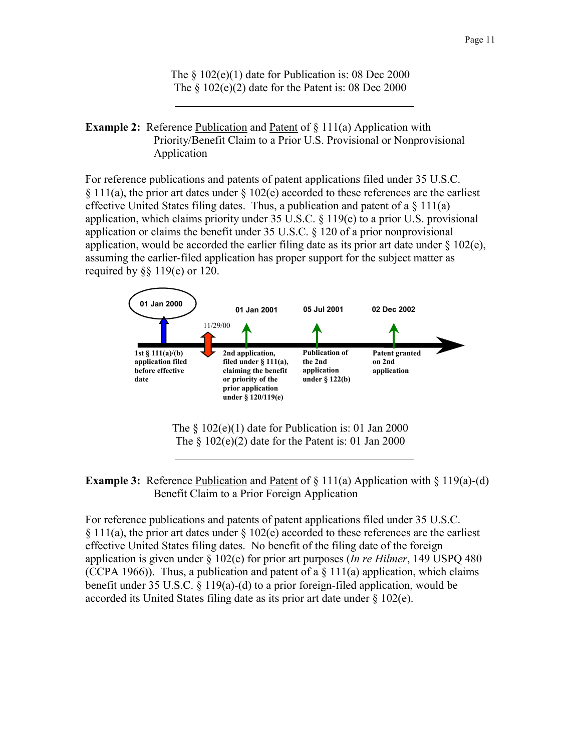The  $\frac{102(e)}{1}$  date for Publication is: 08 Dec 2000 The  $\S$  102(e)(2) date for the Patent is: 08 Dec 2000

**Example 2:** Reference Publication and Patent of  $\S$  111(a) Application with Priority/Benefit Claim to a Prior U.S. Provisional or Nonprovisional Application

For reference publications and patents of patent applications filed under 35 U.S.C. § 111(a), the prior art dates under § 102(e) accorded to these references are the earliest effective United States filing dates. Thus, a publication and patent of a  $\S$  111(a) application, which claims priority under 35 U.S.C. § 119(e) to a prior U.S. provisional application or claims the benefit under 35 U.S.C. § 120 of a prior nonprovisional application, would be accorded the earlier filing date as its prior art date under  $\S 102(e)$ , assuming the earlier-filed application has proper support for the subject matter as required by  $\S$ § 119(e) or 120.



The  $\S$  102(e)(1) date for Publication is: 01 Jan 2000 The  $\S$  102(e)(2) date for the Patent is: 01 Jan 2000

**Example 3:** Reference Publication and Patent of  $\S$  11(a) Application with  $\S$  119(a)-(d) Benefit Claim to a Prior Foreign Application

For reference publications and patents of patent applications filed under 35 U.S.C.  $§ 111(a)$ , the prior art dates under  $§ 102(e)$  accorded to these references are the earliest effective United States filing dates. No benefit of the filing date of the foreign application is given under § 102(e) for prior art purposes (*In re Hilmer*, 149 USPQ 480 (CCPA 1966)). Thus, a publication and patent of a  $\S$  111(a) application, which claims benefit under 35 U.S.C. § 119(a)-(d) to a prior foreign-filed application, would be accorded its United States filing date as its prior art date under § 102(e).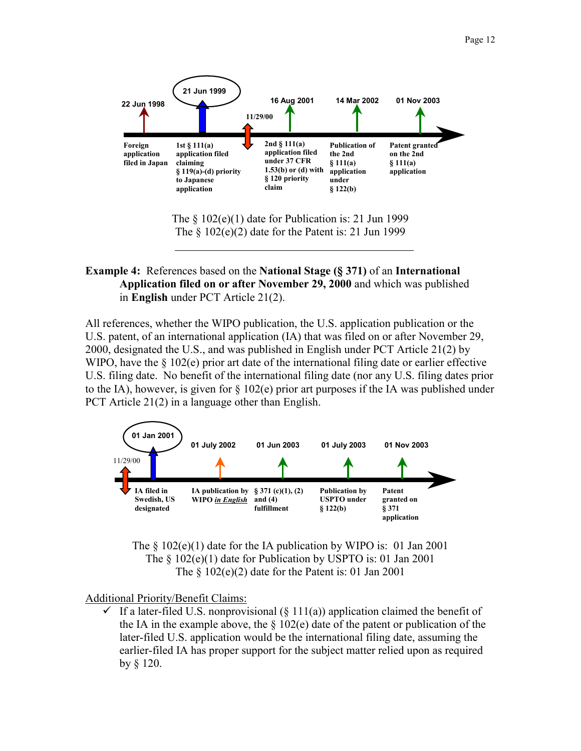

The  $\S$  102(e)(1) date for Publication is: 21 Jun 1999 The  $\S$  102(e)(2) date for the Patent is: 21 Jun 1999

### **Example 4:** References based on the **National Stage (§ 371)** of an **International Application filed on or after November 29, 2000** and which was published in **English** under PCT Article 21(2).

All references, whether the WIPO publication, the U.S. application publication or the U.S. patent, of an international application (IA) that was filed on or after November 29, 2000, designated the U.S., and was published in English under PCT Article 21(2) by WIPO, have the  $\S$  102(e) prior art date of the international filing date or earlier effective U.S. filing date. No benefit of the international filing date (nor any U.S. filing dates prior to the IA), however, is given for  $\S 102(e)$  prior art purposes if the IA was published under PCT Article 21(2) in a language other than English.



The  $\S$  102(e)(1) date for the IA publication by WIPO is: 01 Jan 2001 The § 102(e)(1) date for Publication by USPTO is: 01 Jan 2001 The  $\S$  102(e)(2) date for the Patent is: 01 Jan 2001

#### Additional Priority/Benefit Claims:

If a later-filed U.S. nonprovisional  $(\S 111(a))$  application claimed the benefit of the IA in the example above, the  $\S$  102(e) date of the patent or publication of the later-filed U.S. application would be the international filing date, assuming the earlier-filed IA has proper support for the subject matter relied upon as required by § 120.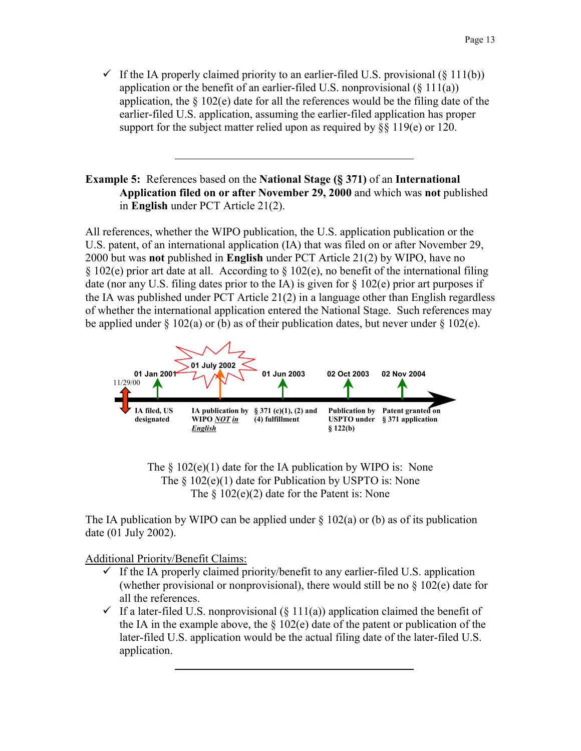$\checkmark$  If the IA properly claimed priority to an earlier-filed U.S. provisional (§ 111(b)) application or the benefit of an earlier-filed U.S. nonprovisional  $(\S 111(a))$ application, the  $\S 102(e)$  date for all the references would be the filing date of the earlier-filed U.S. application, assuming the earlier-filed application has proper support for the subject matter relied upon as required by  $\S$ § 119(e) or 120.

#### **Example 5:** References based on the **National Stage (§ 371)** of an **International Application filed on or after November 29, 2000** and which was **not** published in **English** under PCT Article 21(2).

All references, whether the WIPO publication, the U.S. application publication or the U.S. patent, of an international application (IA) that was filed on or after November 29, 2000 but was **not** published in **English** under PCT Article 21(2) by WIPO, have no  $\S 102(e)$  prior art date at all. According to  $\S 102(e)$ , no benefit of the international filing date (nor any U.S. filing dates prior to the IA) is given for  $\S$  102(e) prior art purposes if the IA was published under PCT Article 21(2) in a language other than English regardless of whether the international application entered the National Stage. Such references may be applied under  $\S$  102(a) or (b) as of their publication dates, but never under  $\S$  102(e).





The IA publication by WIPO can be applied under  $\S$  102(a) or (b) as of its publication date (01 July 2002).

- $\checkmark$  If the IA properly claimed priority/benefit to any earlier-filed U.S. application (whether provisional or nonprovisional), there would still be no  $\S$  102(e) date for all the references.
- $\checkmark$  If a later-filed U.S. nonprovisional (§ 111(a)) application claimed the benefit of the IA in the example above, the  $\S$  102(e) date of the patent or publication of the later-filed U.S. application would be the actual filing date of the later-filed U.S. application.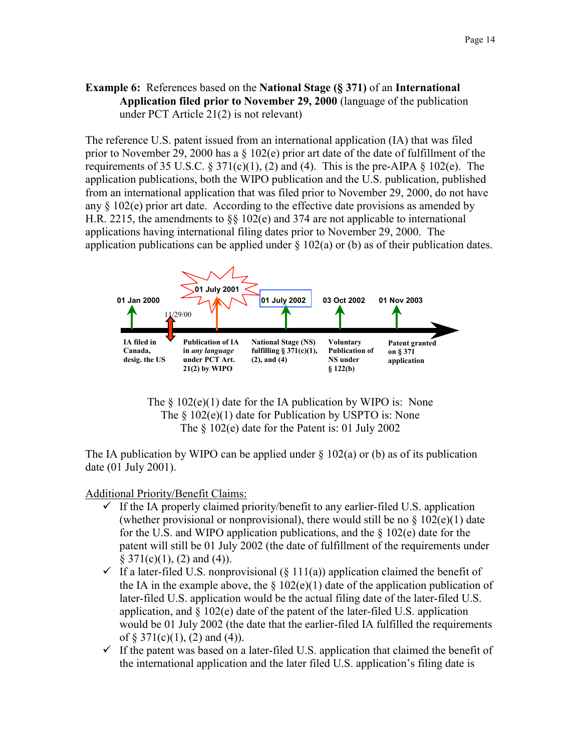### **Example 6:** References based on the **National Stage (§ 371)** of an **International Application filed prior to November 29, 2000** (language of the publication under PCT Article 21(2) is not relevant)

The reference U.S. patent issued from an international application (IA) that was filed prior to November 29, 2000 has a § 102(e) prior art date of the date of fulfillment of the requirements of 35 U.S.C.  $\S 371(c)(1)$ , (2) and (4). This is the pre-AIPA  $\S 102(e)$ . The application publications, both the WIPO publication and the U.S. publication, published from an international application that was filed prior to November 29, 2000, do not have any  $\S 102(e)$  prior art date. According to the effective date provisions as amended by H.R. 2215, the amendments to §§ 102(e) and 374 are not applicable to international applications having international filing dates prior to November 29, 2000. The application publications can be applied under  $\S 102(a)$  or (b) as of their publication dates.



The  $\S$  102(e)(1) date for the IA publication by WIPO is: None The  $\frac{102(e)}{1}$  date for Publication by USPTO is: None The § 102(e) date for the Patent is: 01 July 2002

The IA publication by WIPO can be applied under  $\S$  102(a) or (b) as of its publication date (01 July 2001).

- $\checkmark$  If the IA properly claimed priority/benefit to any earlier-filed U.S. application (whether provisional or nonprovisional), there would still be no  $\S 102(e)(1)$  date for the U.S. and WIPO application publications, and the  $\S$  102(e) date for the patent will still be 01 July 2002 (the date of fulfillment of the requirements under  $§ 371(c)(1), (2)$  and (4)).
- $\checkmark$  If a later-filed U.S. nonprovisional (§ 111(a)) application claimed the benefit of the IA in the example above, the  $\S 102(e)(1)$  date of the application publication of later-filed U.S. application would be the actual filing date of the later-filed U.S. application, and  $\S$  102(e) date of the patent of the later-filed U.S. application would be 01 July 2002 (the date that the earlier-filed IA fulfilled the requirements of  $\S 371(c)(1)$ , (2) and (4)).
- $\checkmark$  If the patent was based on a later-filed U.S. application that claimed the benefit of the international application and the later filed U.S. application's filing date is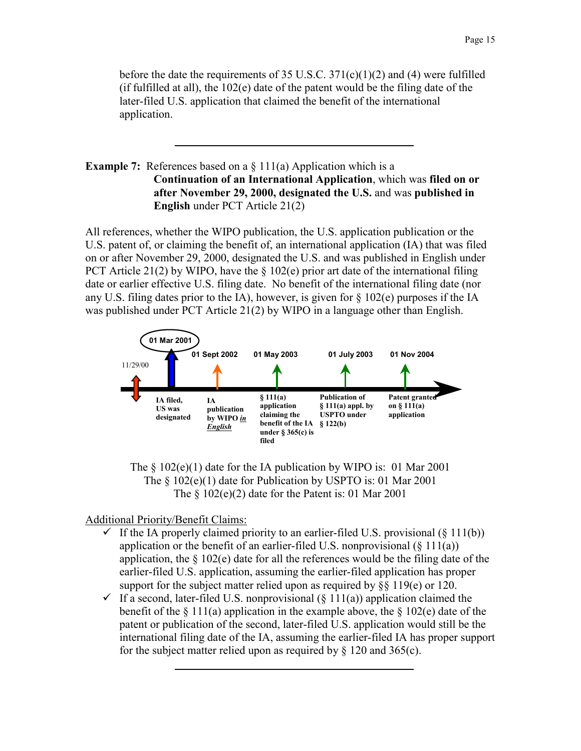before the date the requirements of 35 U.S.C. 371(c)(1)(2) and (4) were fulfilled (if fulfilled at all), the 102(e) date of the patent would be the filing date of the later-filed U.S. application that claimed the benefit of the international application.

### **Example 7:** References based on a § 111(a) Application which is a **Continuation of an International Application**, which was **filed on or after November 29, 2000, designated the U.S.** and was **published in English** under PCT Article 21(2)

All references, whether the WIPO publication, the U.S. application publication or the U.S. patent of, or claiming the benefit of, an international application (IA) that was filed on or after November 29, 2000, designated the U.S. and was published in English under PCT Article 21(2) by WIPO, have the  $\S$  102(e) prior art date of the international filing date or earlier effective U.S. filing date. No benefit of the international filing date (nor any U.S. filing dates prior to the IA), however, is given for  $\S$  102(e) purposes if the IA was published under PCT Article 21(2) by WIPO in a language other than English.





- If the IA properly claimed priority to an earlier-filed U.S. provisional  $(\S 111(b))$ application or the benefit of an earlier-filed U.S. nonprovisional  $(\S 111(a))$ application, the  $\S 102(e)$  date for all the references would be the filing date of the earlier-filed U.S. application, assuming the earlier-filed application has proper support for the subject matter relied upon as required by  $\S$ § 119(e) or 120.
- $\checkmark$  If a second, later-filed U.S. nonprovisional (§ 111(a)) application claimed the benefit of the  $\S 111(a)$  application in the example above, the  $\S 102(e)$  date of the patent or publication of the second, later-filed U.S. application would still be the international filing date of the IA, assuming the earlier-filed IA has proper support for the subject matter relied upon as required by  $\S$  120 and 365(c).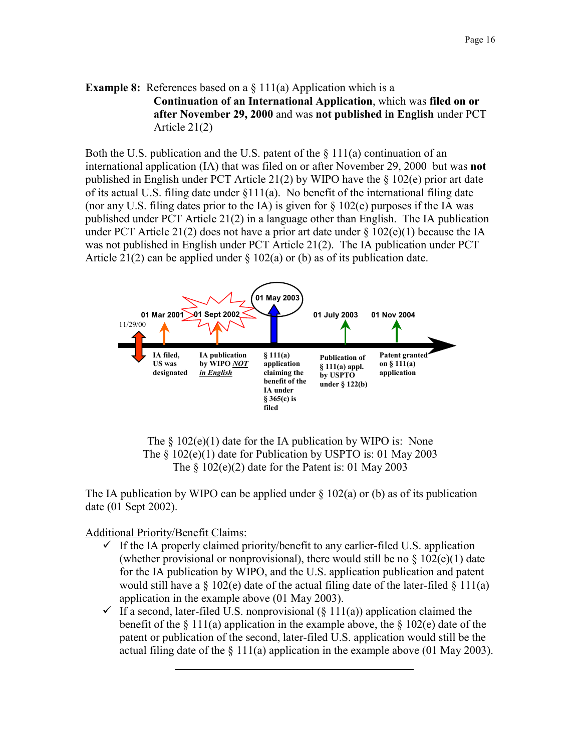## **Example 8:** References based on a § 111(a) Application which is a **Continuation of an International Application**, which was **filed on or after November 29, 2000** and was **not published in English** under PCT Article 21(2)

Both the U.S. publication and the U.S. patent of the  $\S 111(a)$  continuation of an international application (IA) that was filed on or after November 29, 2000 but was **not**  published in English under PCT Article 21(2) by WIPO have the § 102(e) prior art date of its actual U.S. filing date under §111(a). No benefit of the international filing date (nor any U.S. filing dates prior to the IA) is given for  $\S$  102(e) purposes if the IA was published under PCT Article 21(2) in a language other than English. The IA publication under PCT Article 21(2) does not have a prior art date under  $\S 102(e)(1)$  because the IA was not published in English under PCT Article 21(2). The IA publication under PCT Article 21(2) can be applied under  $\S 102(a)$  or (b) as of its publication date.





The IA publication by WIPO can be applied under  $\S$  102(a) or (b) as of its publication date (01 Sept 2002).

- $\checkmark$  If the IA properly claimed priority/benefit to any earlier-filed U.S. application (whether provisional or nonprovisional), there would still be no  $\S$  102(e)(1) date for the IA publication by WIPO, and the U.S. application publication and patent would still have a  $\S$  102(e) date of the actual filing date of the later-filed  $\S$  111(a) application in the example above (01 May 2003).
- $\checkmark$  If a second, later-filed U.S. nonprovisional (§ 111(a)) application claimed the benefit of the  $\S 111(a)$  application in the example above, the  $\S 102(e)$  date of the patent or publication of the second, later-filed U.S. application would still be the actual filing date of the  $\S 111(a)$  application in the example above (01 May 2003).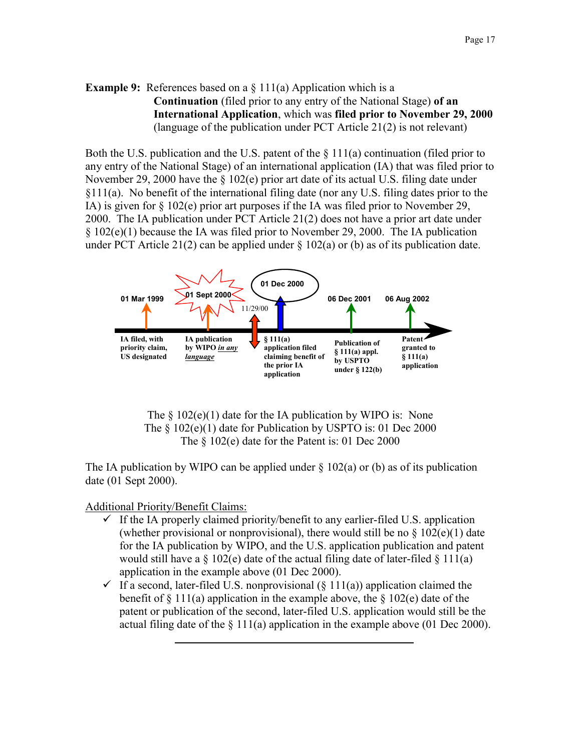## **Example 9:** References based on a  $\S$  111(a) Application which is a **Continuation** (filed prior to any entry of the National Stage) **of an International Application**, which was **filed prior to November 29, 2000**  (language of the publication under PCT Article 21(2) is not relevant)

Both the U.S. publication and the U.S. patent of the  $\S 111(a)$  continuation (filed prior to any entry of the National Stage) of an international application (IA) that was filed prior to November 29, 2000 have the § 102(e) prior art date of its actual U.S. filing date under §111(a). No benefit of the international filing date (nor any U.S. filing dates prior to the IA) is given for § 102(e) prior art purposes if the IA was filed prior to November 29, 2000. The IA publication under PCT Article 21(2) does not have a prior art date under § 102(e)(1) because the IA was filed prior to November 29, 2000. The IA publication under PCT Article 21(2) can be applied under  $\S 102(a)$  or (b) as of its publication date.



The  $\S$  102(e)(1) date for the IA publication by WIPO is: None The  $\S$  102(e)(1) date for Publication by USPTO is: 01 Dec 2000 The § 102(e) date for the Patent is: 01 Dec 2000

The IA publication by WIPO can be applied under  $\S 102(a)$  or (b) as of its publication date (01 Sept 2000).

- $\checkmark$  If the IA properly claimed priority/benefit to any earlier-filed U.S. application (whether provisional or nonprovisional), there would still be no  $\S$  102(e)(1) date for the IA publication by WIPO, and the U.S. application publication and patent would still have a  $\S$  102(e) date of the actual filing date of later-filed  $\S$  111(a) application in the example above (01 Dec 2000).
- $\checkmark$  If a second, later-filed U.S. nonprovisional (§ 111(a)) application claimed the benefit of  $\S 111(a)$  application in the example above, the  $\S 102(e)$  date of the patent or publication of the second, later-filed U.S. application would still be the actual filing date of the  $\S 111(a)$  application in the example above (01 Dec 2000).